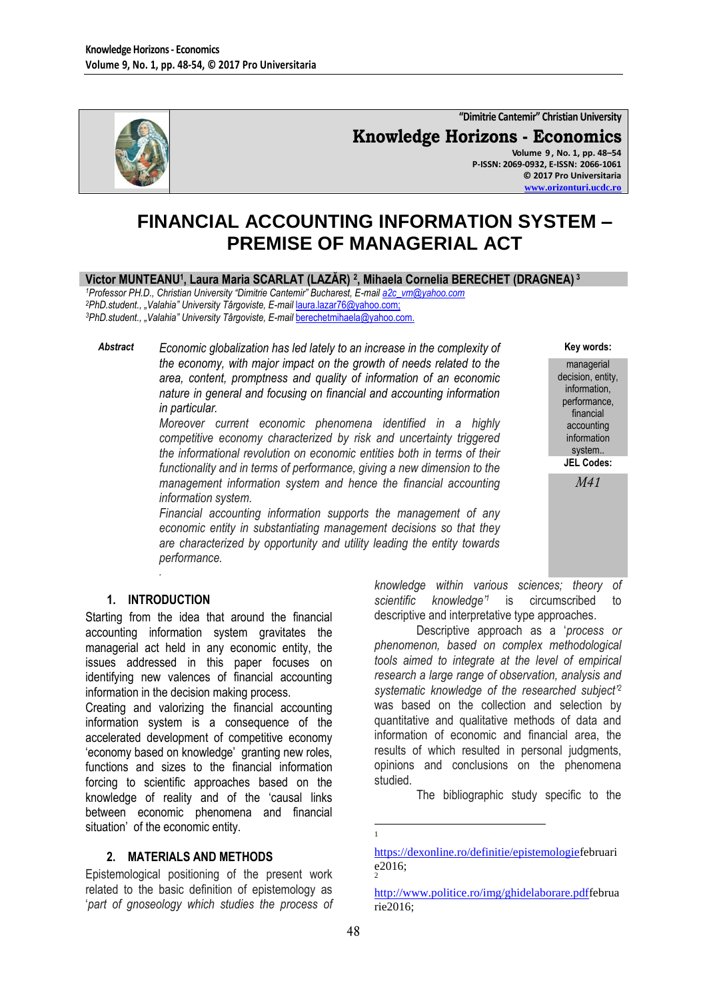

# **"Dimitrie Cantemir" Christian University**

**Knowledge Horizons - Economics Volume 9 , No. 1, pp. 48–54**

**P-ISSN: 2069-0932, E-ISSN: 2066-1061 © 2017 Pro Universitaria [www.orizonturi.ucdc.ro](http://www.orizonturi.ucdc.ro/)**

> **Key words:** managerial decision, entity, information, performance, financial accounting information system.. **JEL Codes:** *M41*

# **FINANCIAL ACCOUNTING INFORMATION SYSTEM – PREMISE OF MANAGERIAL ACT**

#### **Victor MUNTEANU<sup>1</sup> , Laura Maria SCARLAT (LAZĂR) <sup>2</sup> , Mihaela Cornelia BERECHET (DRAGNEA) <sup>3</sup>**

*<sup>1</sup>Professor PH.D., Christian University "Dimitrie Cantemir" Bucharest, E-mai[l a2c\\_vm@yahoo.com](mailto:a2c_vm@yahoo.com) <sup>2</sup>PhD.student., "Valahia" University Târgoviste, E-mail* [laura.lazar76@yahoo.com;](mailto:laura.lazar76@yahoo.com) *<sup>3</sup>PhD.student., "Valahia" University Târgoviste, E-mail* [berechetmihaela@yahoo.com.](mailto:berechetmihaela@yahoo.com)

*Abstract Economic globalization has led lately to an increase in the complexity of the economy, with major impact on the growth of needs related to the area, content, promptness and quality of information of an economic nature in general and focusing on financial and accounting information in particular.*

> *Moreover current economic phenomena identified in a highly competitive economy characterized by risk and uncertainty triggered the informational revolution on economic entities both in terms of their functionality and in terms of performance, giving a new dimension to the management information system and hence the financial accounting information system.*

> *Financial accounting information supports the management of any economic entity in substantiating management decisions so that they are characterized by opportunity and utility leading the entity towards performance.*

#### **1. INTRODUCTION**

*.*

Starting from the idea that around the financial accounting information system gravitates the managerial act held in any economic entity, the issues addressed in this paper focuses on identifying new valences of financial accounting information in the decision making process.

Creating and valorizing the financial accounting information system is a consequence of the accelerated development of competitive economy 'economy based on knowledge' granting new roles, functions and sizes to the financial information forcing to scientific approaches based on the knowledge of reality and of the 'causal links between economic phenomena and financial situation' of the economic entity.

#### **2. MATERIALS AND METHODS**

Epistemological positioning of the present work related to the basic definition of epistemology as '*part of gnoseology which studies the process of*  *knowledge within various sciences; theory of scientific knowledge"<sup>1</sup>* is circumscribed to descriptive and interpretative type approaches.

Descriptive approach as a '*process or phenomenon, based on complex methodological tools aimed to integrate at the level of empirical research a large range of observation, analysis and systematic knowledge of the researched subject" 2* was based on the collection and selection by quantitative and qualitative methods of data and information of economic and financial area, the results of which resulted in personal judgments, opinions and conclusions on the phenomena studied.

The bibliographic study specific to the

 $\frac{1}{1}$ 

[https://dexonline.ro/definitie/epistemologief](https://dexonline.ro/definitie/epistemologie)ebruari e2016; 2

[http://www.politice.ro/img/ghidelaborare.pdff](http://www.politice.ro/img/ghidelaborare.pdf)ebrua rie2016;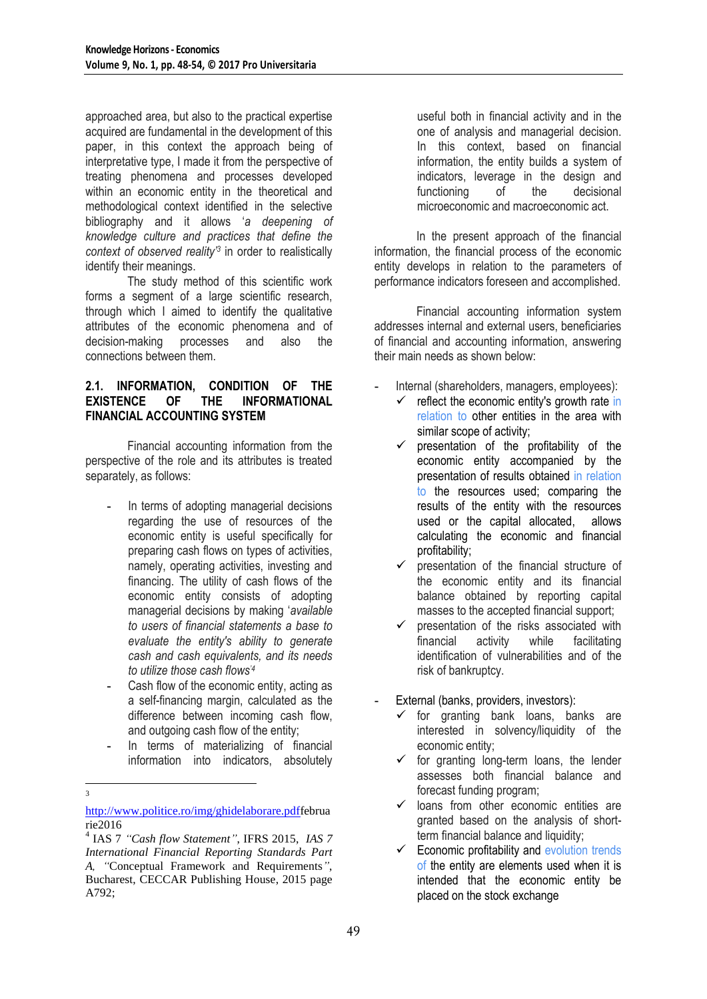approached area, but also to the practical expertise acquired are fundamental in the development of this paper, in this context the approach being of interpretative type, I made it from the perspective of treating phenomena and processes developed within an economic entity in the theoretical and methodological context identified in the selective bibliography and it allows '*a deepening of knowledge culture and practices that define the context of observed reality"<sup>3</sup>* in order to realistically identify their meanings.

The study method of this scientific work forms a segment of a large scientific research, through which I aimed to identify the qualitative attributes of the economic phenomena and of decision-making processes and also the connections between them.

#### **2.1. INFORMATION, CONDITION OF THE EXISTENCE OF THE INFORMATIONAL FINANCIAL ACCOUNTING SYSTEM**

Financial accounting information from the perspective of the role and its attributes is treated separately, as follows:

- **-** In terms of adopting managerial decisions regarding the use of resources of the economic entity is useful specifically for preparing cash flows on types of activities, namely, operating activities, investing and financing. The utility of cash flows of the economic entity consists of adopting managerial decisions by making '*available to users of financial statements a base to evaluate the entity's ability to generate cash and cash equivalents, and its needs to utilize those cash flows"<sup>4</sup>*
- **-** Cash flow of the economic entity, acting as a self-financing margin, calculated as the difference between incoming cash flow, and outgoing cash flow of the entity;
- **-** In terms of materializing of financial information into indicators, absolutely
- [http://www.politice.ro/img/ghidelaborare.pdff](http://www.politice.ro/img/ghidelaborare.pdf)ebrua rie2016

<u>.</u> 3 useful both in financial activity and in the one of analysis and managerial decision. In this context, based on financial information, the entity builds a system of indicators, leverage in the design and functioning of the decisional microeconomic and macroeconomic act.

In the present approach of the financial information, the financial process of the economic entity develops in relation to the parameters of performance indicators foreseen and accomplished.

Financial accounting information system addresses internal and external users, beneficiaries of financial and accounting information, answering their main needs as shown below:

- **-** Internal (shareholders, managers, employees):
	- $\checkmark$  reflect the economic entity's growth rate in relation to other entities in the area with similar scope of activity;
	- $\checkmark$  presentation of the profitability of the economic entity accompanied by the presentation of results obtained in relation to the resources used; comparing the results of the entity with the resources used or the capital allocated, allows calculating the economic and financial profitability;
	- $\checkmark$  oresentation of the financial structure of the economic entity and its financial balance obtained by reporting capital masses to the accepted financial support;
	- $\checkmark$  presentation of the risks associated with financial activity while facilitating identification of vulnerabilities and of the risk of bankruptcy.
- **-** External (banks, providers, investors):
	- $\checkmark$  for granting bank loans, banks are interested in solvency/liquidity of the economic entity;
	- $\checkmark$  for granting long-term loans, the lender assesses both financial balance and forecast funding program;
	- $\checkmark$  loans from other economic entities are granted based on the analysis of shortterm financial balance and liquidity;
	- $\checkmark$  Economic profitability and evolution trends of the entity are elements used when it is intended that the economic entity be placed on the stock exchange

<sup>4</sup> IAS 7 *"Cash flow Statement"*, IFRS 2015, *IAS 7 International Financial Reporting Standards Part A, "*Conceptual Framework and Requirements*"*, Bucharest, CECCAR Publishing House, 2015 page A792;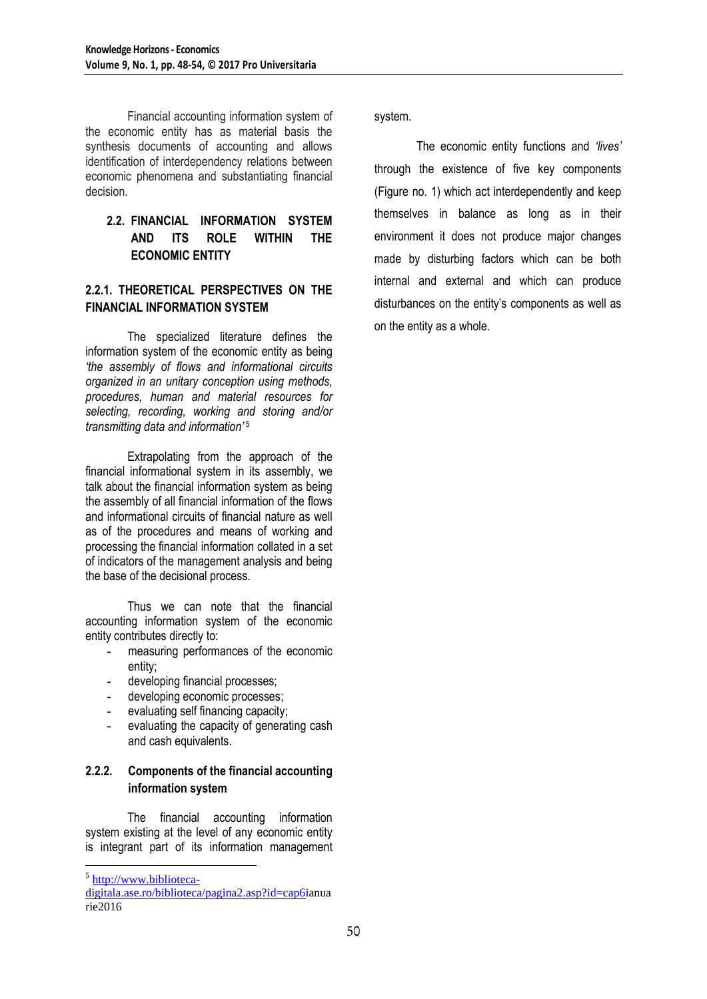Financial accounting information system of the economic entity has as material basis the synthesis documents of accounting and allows identification of interdependency relations between economic phenomena and substantiating financial decision.

## **2.2. FINANCIAL INFORMATION SYSTEM AND ITS ROLE WITHIN THE ECONOMIC ENTITY**

## **2.2.1. THEORETICAL PERSPECTIVES ON THE FINANCIAL INFORMATION SYSTEM**

The specialized literature defines the information system of the economic entity as being *"the assembly of flows and informational circuits organized in an unitary conception using methods, procedures, human and material resources for selecting, recording, working and storing and/or transmitting data and information"* 5

Extrapolating from the approach of the financial informational system in its assembly, we talk about the financial information system as being the assembly of all financial information of the flows and informational circuits of financial nature as well as of the procedures and means of working and processing the financial information collated in a set of indicators of the management analysis and being the base of the decisional process.

Thus we can note that the financial accounting information system of the economic entity contributes directly to:

- **-** measuring performances of the economic entity;
- **-** developing financial processes;
- **-** developing economic processes;
- **-** evaluating self financing capacity;
- **-** evaluating the capacity of generating cash and cash equivalents.

#### **2.2.2. Components of the financial accounting information system**

The financial accounting information system existing at the level of any economic entity is integrant part of its information management

1

system.

The economic entity functions and *"lives"* through the existence of five key components (Figure no. 1) which act interdependently and keep themselves in balance as long as in their environment it does not produce major changes made by disturbing factors which can be both internal and external and which can produce disturbances on the entity's components as well as on the entity as a whole.

<sup>&</sup>lt;sup>5</sup> [http://www.biblioteca-](http://www.biblioteca-digitala.ase.ro/biblioteca/pagina2.asp?id=cap6)

[digitala.ase.ro/biblioteca/pagina2.asp?id=cap6i](http://www.biblioteca-digitala.ase.ro/biblioteca/pagina2.asp?id=cap6)anua rie2016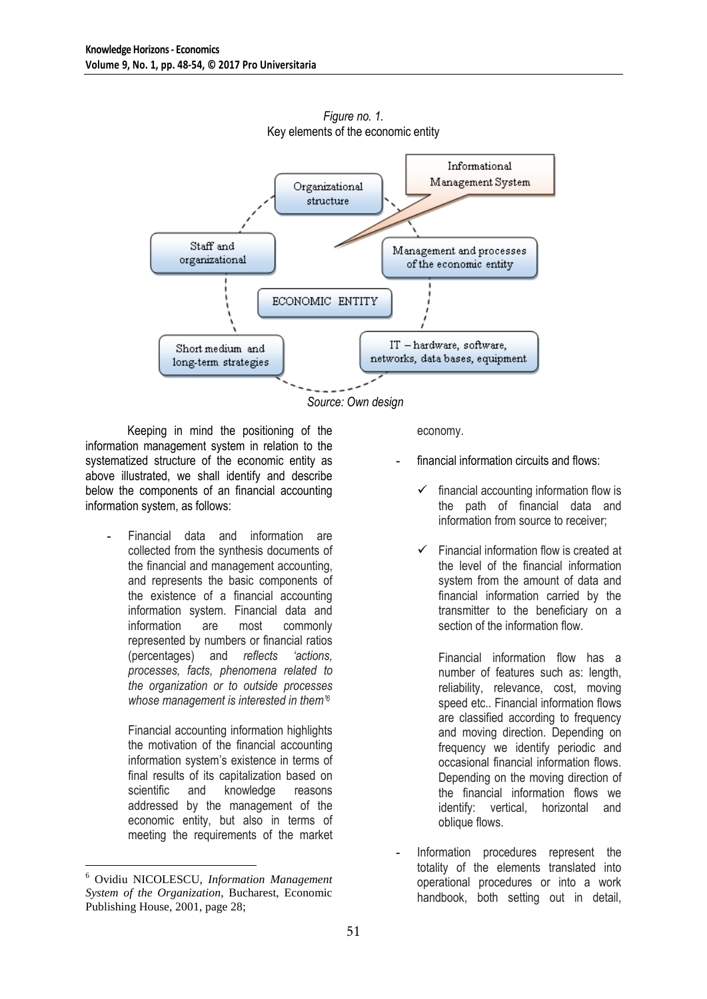

*Figure no. 1.* Key elements of the economic entity

Keeping in mind the positioning of the information management system in relation to the systematized structure of the economic entity as above illustrated, we shall identify and describe below the components of an financial accounting information system, as follows:

**-** Financial data and information are collected from the synthesis documents of the financial and management accounting, and represents the basic components of the existence of a financial accounting information system. Financial data and information are most commonly represented by numbers or financial ratios (percentages) and *reflects "actions, processes, facts, phenomena related to the organization or to outside processes whose management is interested in them" 6*

Financial accounting information highlights the motivation of the financial accounting information system's existence in terms of final results of its capitalization based on scientific and knowledge reasons addressed by the management of the economic entity, but also in terms of meeting the requirements of the market

economy.

- **-** financial information circuits and flows:
	- financial accounting information flow is the path of financial data and information from source to receiver;
	- Financial information flow is created at the level of the financial information system from the amount of data and financial information carried by the transmitter to the beneficiary on a section of the information flow.

Financial information flow has a number of features such as: length, reliability, relevance, cost, moving speed etc.. Financial information flows are classified according to frequency and moving direction. Depending on frequency we identify periodic and occasional financial information flows. Depending on the moving direction of the financial information flows we identify: vertical, horizontal and oblique flows.

**-** Information procedures represent the totality of the elements translated into operational procedures or into a work handbook, both setting out in detail,

<sup>1</sup> <sup>6</sup> Ovidiu NICOLESCU, *Information Management System of the Organization*, Bucharest, Economic Publishing House, 2001, page 28;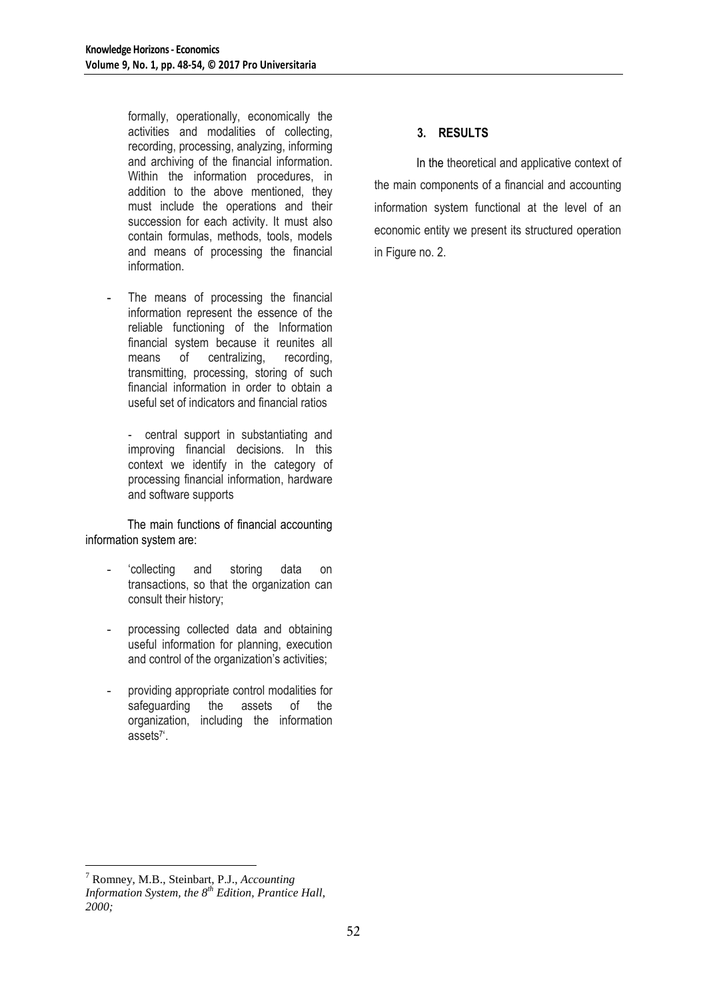formally, operationally, economically the activities and modalities of collecting, recording, processing, analyzing, informing and archiving of the financial information. Within the information procedures, in addition to the above mentioned, they must include the operations and their succession for each activity. It must also contain formulas, methods, tools, models and means of processing the financial information.

- The means of processing the financial information represent the essence of the reliable functioning of the Information financial system because it reunites all means of centralizing, recording, transmitting, processing, storing of such financial information in order to obtain a useful set of indicators and financial ratios
	- central support in substantiating and improving financial decisions. In this context we identify in the category of processing financial information, hardware and software supports

The main functions of financial accounting information system are:

- 'collecting and storing data on transactions, so that the organization can consult their history;
- processing collected data and obtaining useful information for planning, execution and control of the organization's activities;
- providing appropriate control modalities for safeguarding the assets of the organization, including the information assets<sup>7</sup> '.

# **3. RESULTS**

In the theoretical and applicative context of the main components of a financial and accounting information system functional at the level of an economic entity we present its structured operation in Figure no. 2.

<sup>1</sup> <sup>7</sup> Romney, M.B., Steinbart, P.J., *Accounting* 

*Information System, the 8th Edition, Prantice Hall, 2000;*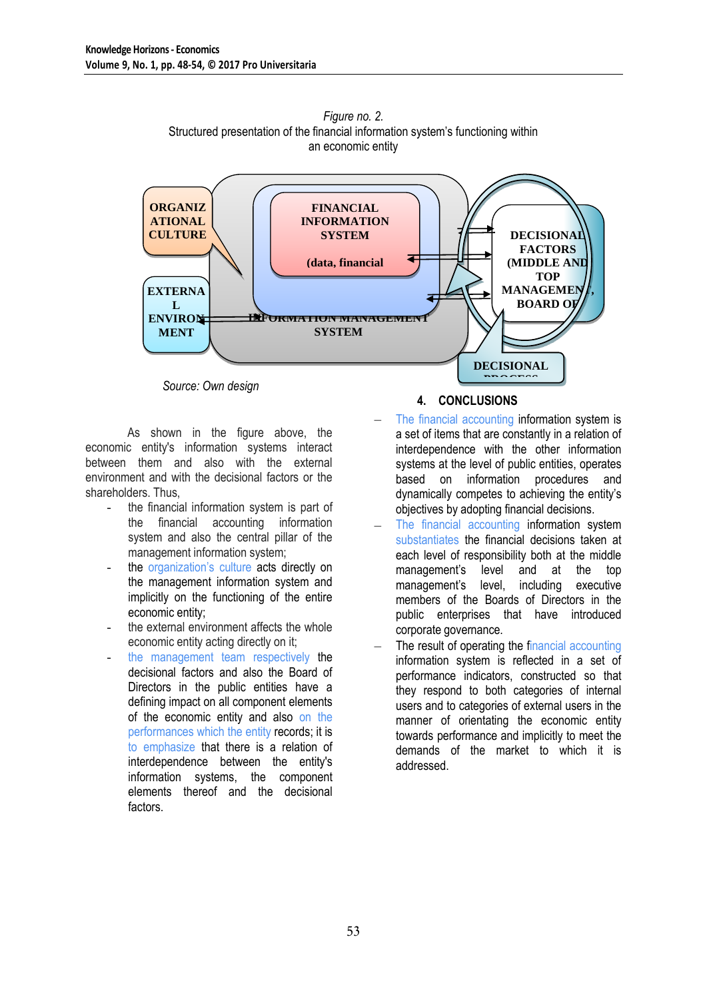

*Figure no. 2.* Structured presentation of the financial information system's functioning within an economic entity

*Source: Own design*

As shown in the figure above, the economic entity's information systems interact between them and also with the external environment and with the decisional factors or the shareholders. Thus,

- the financial information system is part of the financial accounting information system and also the central pillar of the management information system;
- the organization's culture acts directly on the management information system and implicitly on the functioning of the entire economic entity;
- the external environment affects the whole economic entity acting directly on it;
- the management team respectively the decisional factors and also the Board of Directors in the public entities have a defining impact on all component elements of the economic entity and also on the performances which the entity records; it is to emphasize that there is a relation of interdependence between the entity's information systems, the component elements thereof and the decisional factors.

#### **4. CONCLUSIONS**

- The financial accounting information system is a set of items that are constantly in a relation of interdependence with the other information systems at the level of public entities, operates based on information procedures and dynamically competes to achieving the entity's objectives by adopting financial decisions.
- The financial accounting information system substantiates the financial decisions taken at each level of responsibility both at the middle management's level and at the top management's level, including executive members of the Boards of Directors in the public enterprises that have introduced corporate governance.
- The result of operating the financial accounting information system is reflected in a set of performance indicators, constructed so that they respond to both categories of internal users and to categories of external users in the manner of orientating the economic entity towards performance and implicitly to meet the demands of the market to which it is addressed.